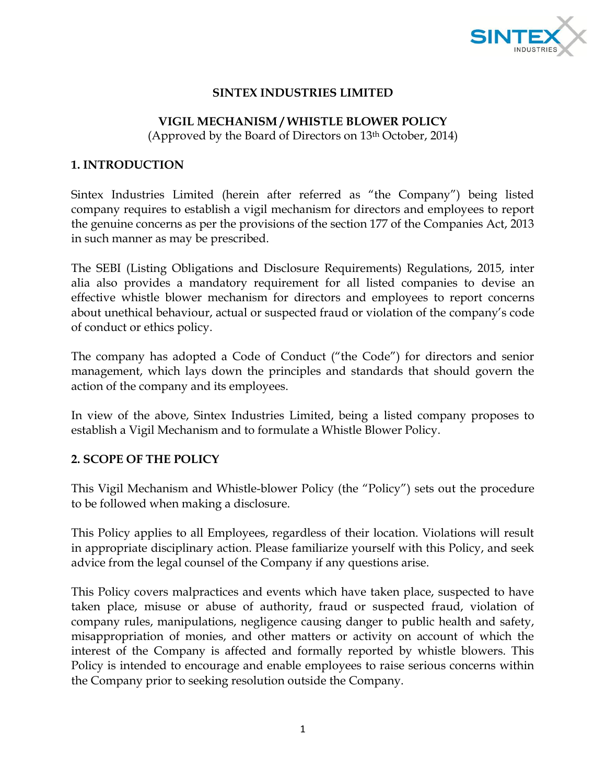

### **SINTEX INDUSTRIES LIMITED**

#### **VIGIL MECHANISM / WHISTLE BLOWER POLICY**

(Approved by the Board of Directors on 13th October, 2014)

#### **1. INTRODUCTION**

Sintex Industries Limited (herein after referred as "the Company") being listed company requires to establish a vigil mechanism for directors and employees to report the genuine concerns as per the provisions of the section 177 of the Companies Act, 2013 in such manner as may be prescribed.

The SEBI (Listing Obligations and Disclosure Requirements) Regulations, 2015, inter alia also provides a mandatory requirement for all listed companies to devise an effective whistle blower mechanism for directors and employees to report concerns about unethical behaviour, actual or suspected fraud or violation of the company's code of conduct or ethics policy.

The company has adopted a Code of Conduct ("the Code") for directors and senior management, which lays down the principles and standards that should govern the action of the company and its employees.

In view of the above, Sintex Industries Limited, being a listed company proposes to establish a Vigil Mechanism and to formulate a Whistle Blower Policy.

#### **2. SCOPE OF THE POLICY**

This Vigil Mechanism and Whistle-blower Policy (the "Policy") sets out the procedure to be followed when making a disclosure.

This Policy applies to all Employees, regardless of their location. Violations will result in appropriate disciplinary action. Please familiarize yourself with this Policy, and seek advice from the legal counsel of the Company if any questions arise.

This Policy covers malpractices and events which have taken place, suspected to have taken place, misuse or abuse of authority, fraud or suspected fraud, violation of company rules, manipulations, negligence causing danger to public health and safety, misappropriation of monies, and other matters or activity on account of which the interest of the Company is affected and formally reported by whistle blowers. This Policy is intended to encourage and enable employees to raise serious concerns within the Company prior to seeking resolution outside the Company.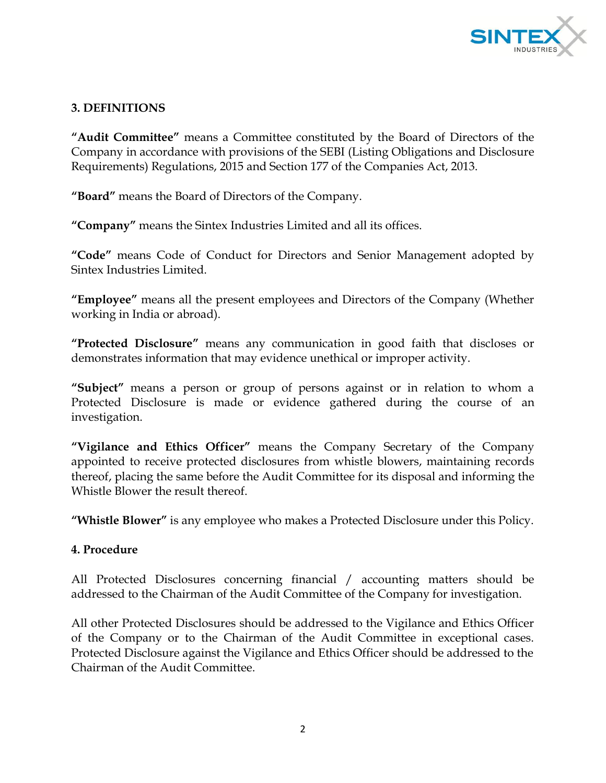

# **3. DEFINITIONS**

**"Audit Committee"** means a Committee constituted by the Board of Directors of the Company in accordance with provisions of the SEBI (Listing Obligations and Disclosure Requirements) Regulations, 2015 and Section 177 of the Companies Act, 2013.

**"Board"** means the Board of Directors of the Company.

**"Company"** means the Sintex Industries Limited and all its offices.

**"Code"** means Code of Conduct for Directors and Senior Management adopted by Sintex Industries Limited.

**"Employee"** means all the present employees and Directors of the Company (Whether working in India or abroad).

**"Protected Disclosure"** means any communication in good faith that discloses or demonstrates information that may evidence unethical or improper activity.

**"Subject"** means a person or group of persons against or in relation to whom a Protected Disclosure is made or evidence gathered during the course of an investigation.

**"Vigilance and Ethics Officer"** means the Company Secretary of the Company appointed to receive protected disclosures from whistle blowers, maintaining records thereof, placing the same before the Audit Committee for its disposal and informing the Whistle Blower the result thereof.

**"Whistle Blower"** is any employee who makes a Protected Disclosure under this Policy.

#### **4. Procedure**

All Protected Disclosures concerning financial / accounting matters should be addressed to the Chairman of the Audit Committee of the Company for investigation.

All other Protected Disclosures should be addressed to the Vigilance and Ethics Officer of the Company or to the Chairman of the Audit Committee in exceptional cases. Protected Disclosure against the Vigilance and Ethics Officer should be addressed to the Chairman of the Audit Committee.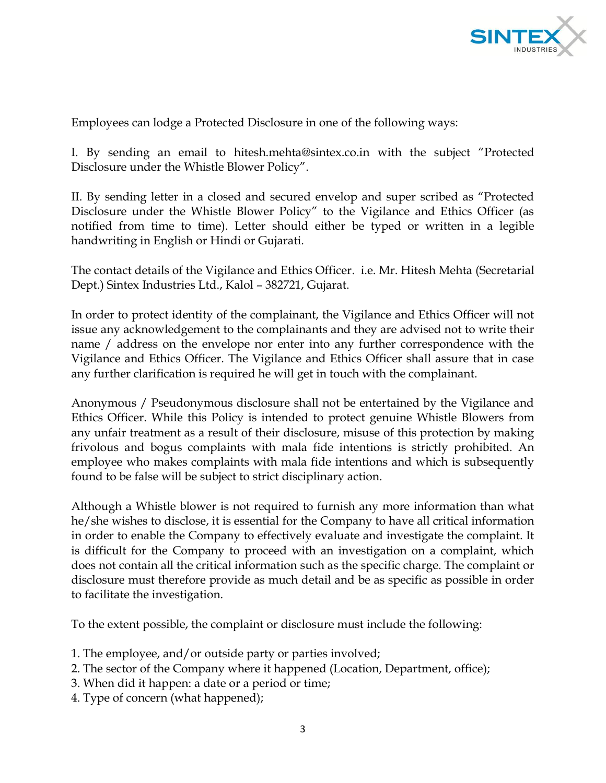

Employees can lodge a Protected Disclosure in one of the following ways:

I. By sending an email to hitesh.mehta@sintex.co.in with the subject "Protected Disclosure under the Whistle Blower Policy".

II. By sending letter in a closed and secured envelop and super scribed as "Protected Disclosure under the Whistle Blower Policy" to the Vigilance and Ethics Officer (as notified from time to time). Letter should either be typed or written in a legible handwriting in English or Hindi or Gujarati.

The contact details of the Vigilance and Ethics Officer. i.e. Mr. Hitesh Mehta (Secretarial Dept.) Sintex Industries Ltd., Kalol – 382721, Gujarat.

In order to protect identity of the complainant, the Vigilance and Ethics Officer will not issue any acknowledgement to the complainants and they are advised not to write their name / address on the envelope nor enter into any further correspondence with the Vigilance and Ethics Officer. The Vigilance and Ethics Officer shall assure that in case any further clarification is required he will get in touch with the complainant.

Anonymous / Pseudonymous disclosure shall not be entertained by the Vigilance and Ethics Officer. While this Policy is intended to protect genuine Whistle Blowers from any unfair treatment as a result of their disclosure, misuse of this protection by making frivolous and bogus complaints with mala fide intentions is strictly prohibited. An employee who makes complaints with mala fide intentions and which is subsequently found to be false will be subject to strict disciplinary action.

Although a Whistle blower is not required to furnish any more information than what he/she wishes to disclose, it is essential for the Company to have all critical information in order to enable the Company to effectively evaluate and investigate the complaint. It is difficult for the Company to proceed with an investigation on a complaint, which does not contain all the critical information such as the specific charge. The complaint or disclosure must therefore provide as much detail and be as specific as possible in order to facilitate the investigation.

To the extent possible, the complaint or disclosure must include the following:

- 1. The employee, and/or outside party or parties involved;
- 2. The sector of the Company where it happened (Location, Department, office);
- 3. When did it happen: a date or a period or time;
- 4. Type of concern (what happened);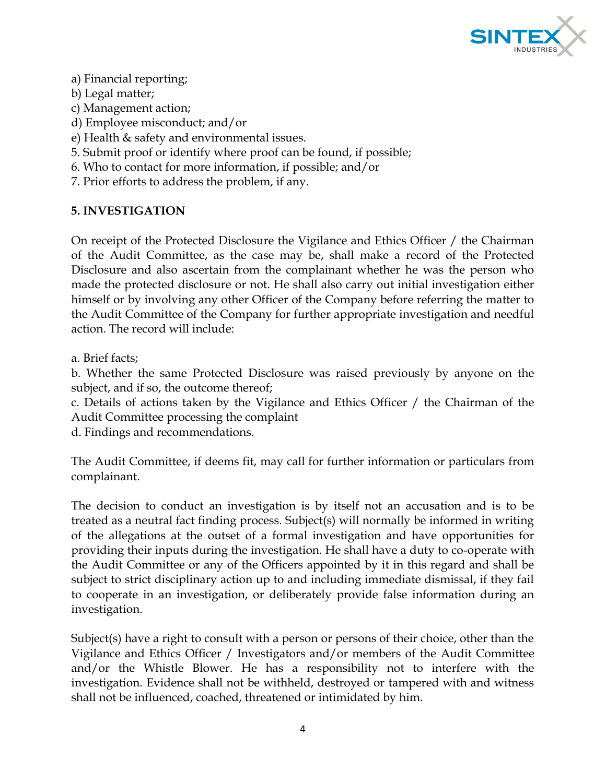

### a) Financial reporting;

- b) Legal matter;
- c) Management action;
- d) Employee misconduct; and/or
- e) Health & safety and environmental issues.
- 5. Submit proof or identify where proof can be found, if possible;
- 6. Who to contact for more information, if possible; and/or
- 7. Prior efforts to address the problem, if any.

# **5. INVESTIGATION**

On receipt of the Protected Disclosure the Vigilance and Ethics Officer / the Chairman of the Audit Committee, as the case may be, shall make a record of the Protected Disclosure and also ascertain from the complainant whether he was the person who made the protected disclosure or not. He shall also carry out initial investigation either himself or by involving any other Officer of the Company before referring the matter to the Audit Committee of the Company for further appropriate investigation and needful action. The record will include:

a. Brief facts;

b. Whether the same Protected Disclosure was raised previously by anyone on the subject, and if so, the outcome thereof;

c. Details of actions taken by the Vigilance and Ethics Officer / the Chairman of the Audit Committee processing the complaint

d. Findings and recommendations.

The Audit Committee, if deems fit, may call for further information or particulars from complainant.

The decision to conduct an investigation is by itself not an accusation and is to be treated as a neutral fact finding process. Subject(s) will normally be informed in writing of the allegations at the outset of a formal investigation and have opportunities for providing their inputs during the investigation. He shall have a duty to co-operate with the Audit Committee or any of the Officers appointed by it in this regard and shall be subject to strict disciplinary action up to and including immediate dismissal, if they fail to cooperate in an investigation, or deliberately provide false information during an investigation.

Subject(s) have a right to consult with a person or persons of their choice, other than the Vigilance and Ethics Officer / Investigators and/or members of the Audit Committee and/or the Whistle Blower. He has a responsibility not to interfere with the investigation. Evidence shall not be withheld, destroyed or tampered with and witness shall not be influenced, coached, threatened or intimidated by him.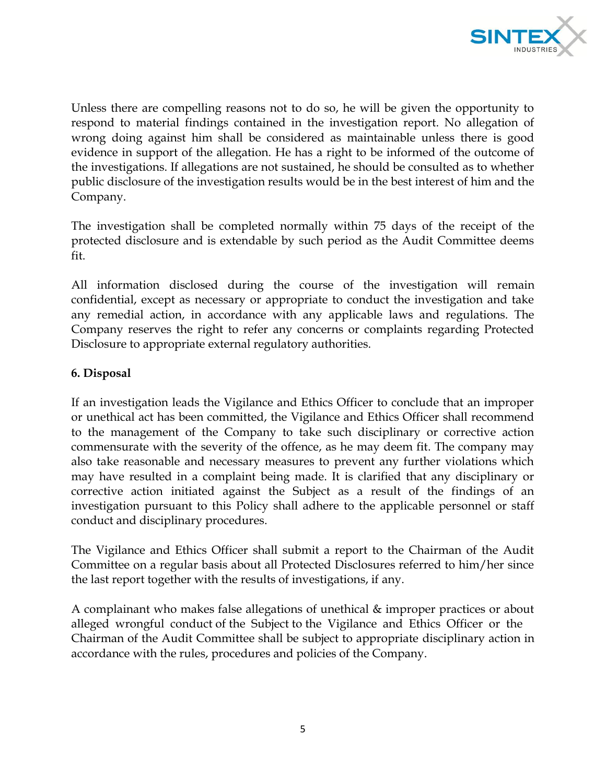

Unless there are compelling reasons not to do so, he will be given the opportunity to respond to material findings contained in the investigation report. No allegation of wrong doing against him shall be considered as maintainable unless there is good evidence in support of the allegation. He has a right to be informed of the outcome of the investigations. If allegations are not sustained, he should be consulted as to whether public disclosure of the investigation results would be in the best interest of him and the Company.

The investigation shall be completed normally within 75 days of the receipt of the protected disclosure and is extendable by such period as the Audit Committee deems fit.

All information disclosed during the course of the investigation will remain confidential, except as necessary or appropriate to conduct the investigation and take any remedial action, in accordance with any applicable laws and regulations. The Company reserves the right to refer any concerns or complaints regarding Protected Disclosure to appropriate external regulatory authorities.

### **6. Disposal**

If an investigation leads the Vigilance and Ethics Officer to conclude that an improper or unethical act has been committed, the Vigilance and Ethics Officer shall recommend to the management of the Company to take such disciplinary or corrective action commensurate with the severity of the offence, as he may deem fit. The company may also take reasonable and necessary measures to prevent any further violations which may have resulted in a complaint being made. It is clarified that any disciplinary or corrective action initiated against the Subject as a result of the findings of an investigation pursuant to this Policy shall adhere to the applicable personnel or staff conduct and disciplinary procedures.

The Vigilance and Ethics Officer shall submit a report to the Chairman of the Audit Committee on a regular basis about all Protected Disclosures referred to him/her since the last report together with the results of investigations, if any.

A complainant who makes false allegations of unethical & improper practices or about alleged wrongful conduct of the Subject to the Vigilance and Ethics Officer or the Chairman of the Audit Committee shall be subject to appropriate disciplinary action in accordance with the rules, procedures and policies of the Company.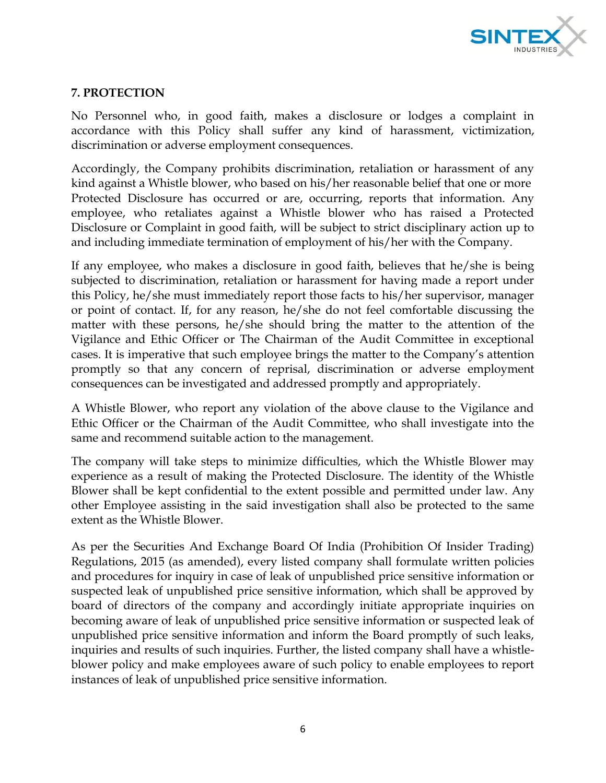

# **7. PROTECTION**

No Personnel who, in good faith, makes a disclosure or lodges a complaint in accordance with this Policy shall suffer any kind of harassment, victimization, discrimination or adverse employment consequences.

Accordingly, the Company prohibits discrimination, retaliation or harassment of any kind against a Whistle blower, who based on his/her reasonable belief that one or more Protected Disclosure has occurred or are, occurring, reports that information. Any employee, who retaliates against a Whistle blower who has raised a Protected Disclosure or Complaint in good faith, will be subject to strict disciplinary action up to and including immediate termination of employment of his/her with the Company.

If any employee, who makes a disclosure in good faith, believes that he/she is being subjected to discrimination, retaliation or harassment for having made a report under this Policy, he/she must immediately report those facts to his/her supervisor, manager or point of contact. If, for any reason, he/she do not feel comfortable discussing the matter with these persons, he/she should bring the matter to the attention of the Vigilance and Ethic Officer or The Chairman of the Audit Committee in exceptional cases. It is imperative that such employee brings the matter to the Company's attention promptly so that any concern of reprisal, discrimination or adverse employment consequences can be investigated and addressed promptly and appropriately.

A Whistle Blower, who report any violation of the above clause to the Vigilance and Ethic Officer or the Chairman of the Audit Committee, who shall investigate into the same and recommend suitable action to the management.

The company will take steps to minimize difficulties, which the Whistle Blower may experience as a result of making the Protected Disclosure. The identity of the Whistle Blower shall be kept confidential to the extent possible and permitted under law. Any other Employee assisting in the said investigation shall also be protected to the same extent as the Whistle Blower.

As per the Securities And Exchange Board Of India (Prohibition Of Insider Trading) Regulations, 2015 (as amended), every listed company shall formulate written policies and procedures for inquiry in case of leak of unpublished price sensitive information or suspected leak of unpublished price sensitive information, which shall be approved by board of directors of the company and accordingly initiate appropriate inquiries on becoming aware of leak of unpublished price sensitive information or suspected leak of unpublished price sensitive information and inform the Board promptly of such leaks, inquiries and results of such inquiries. Further, the listed company shall have a whistleblower policy and make employees aware of such policy to enable employees to report instances of leak of unpublished price sensitive information.